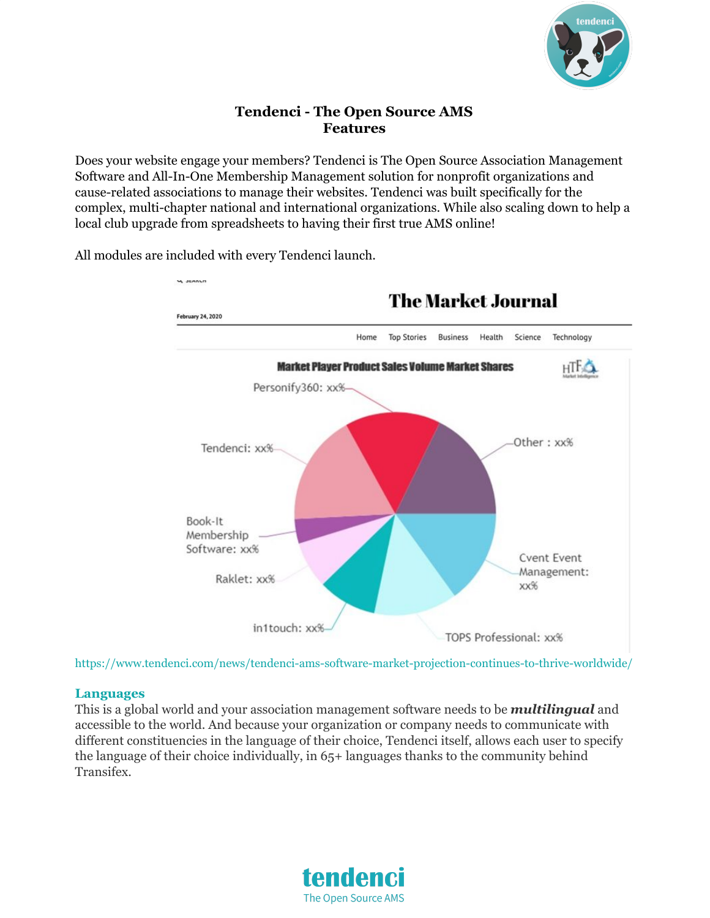

# **Tendenci - The Open Source AMS Features**

Does your website engage your members? Tendenci is The Open Source Association Management Software and All-In-One Membership Management solution for nonprofit organizations and cause-related associations to manage their websites. Tendenci was built specifically for the complex, multi-chapter national and international organizations. While also scaling down to help a local club upgrade from spreadsheets to having their first true AMS online!



All modules are included with every Tendenci launch.

https://www.tendenci.com/news/tendenci-ams-software-market-projection-continues-to-thrive-worldwide/

#### **Languages**

This is a global world and your association management software needs to be *multilingual* and accessible to the world. And because your organization or company needs to communicate with different constituencies in the language of their choice, Tendenci itself, allows each user to specify the language of their choice individually, in 65+ languages thanks to the community behind Transifex.

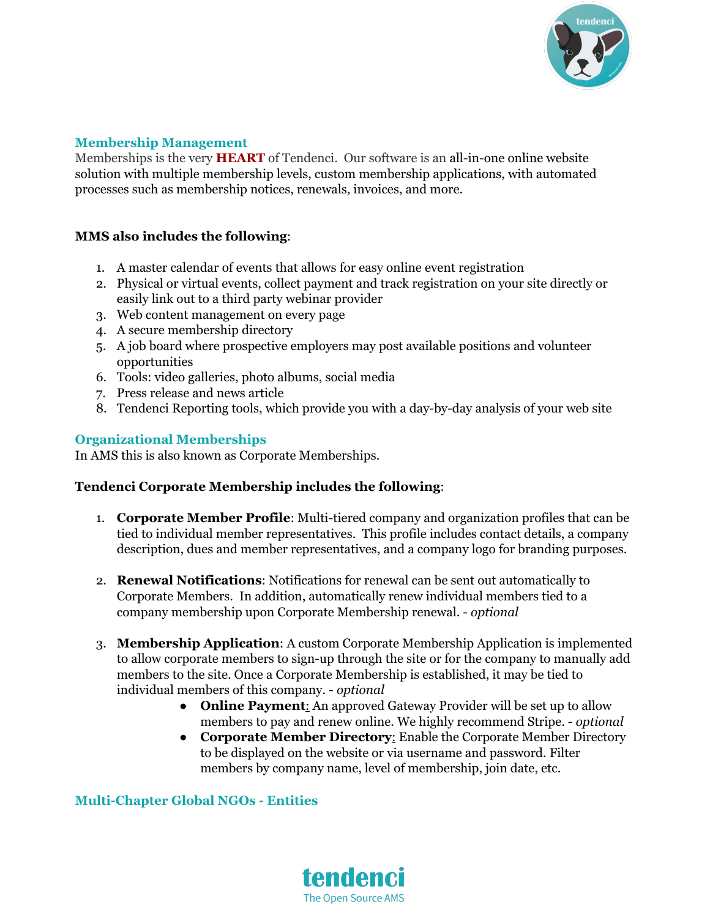

#### **Membership Management**

Memberships is the very **HEART** of Tendenci. Our software is an all-in-one online website solution with multiple membership levels, custom membership applications, with automated processes such as membership notices, renewals, invoices, and more.

#### **MMS also includes the following**:

- 1. A master calendar of events that allows for easy online event [registration](https://www.tendenci.com/professional-event-management/)
- 2. Physical or virtual events, collect payment and track registration on your site directly or easily link out to a third party webinar provider
- 3. Web content management on every page
- 4. A secure membership directory
- 5. A job [board](https://www.tendenci.com/career-management-resume-job-board/) where prospective employers may post available positions and volunteer opportunities
- 6. Tools: video galleries, photo albums, social media
- 7. Press release and news article
- 8. Tendenci Reporting tools, which provide you with a day-by-day analysis of your web site

#### **Organizational Memberships**

In AMS this is also known as Corporate Memberships.

#### **Tendenci Corporate Membership includes the following**:

- 1. **Corporate Member Profile**: Multi-tiered company and organization profiles that can be tied to individual member representatives. This profile includes contact details, a company description, dues and member representatives, and a company logo for branding purposes.
- 2. **Renewal Notifications**: Notifications for renewal can be sent out automatically to Corporate Members. In addition, automatically renew individual members tied to a company membership upon Corporate Membership renewal. - *optional*
- 3. **Membership Application**: A custom Corporate Membership Application is implemented to allow corporate members to sign-up through the site or for the company to manually add members to the site. Once a Corporate Membership is established, it may be tied to individual members of this company. - *optional*
	- **Online Payment**: An approved Gateway Provider will be set up to allow members to pay and renew online. We highly recommend Stripe. - *optional*
	- **Corporate Member Directory**: Enable the Corporate Member Directory to be displayed on the website or via username and password. Filter members by company name, level of membership, join date, etc.

#### **Multi-Chapter Global NGOs - Entities**

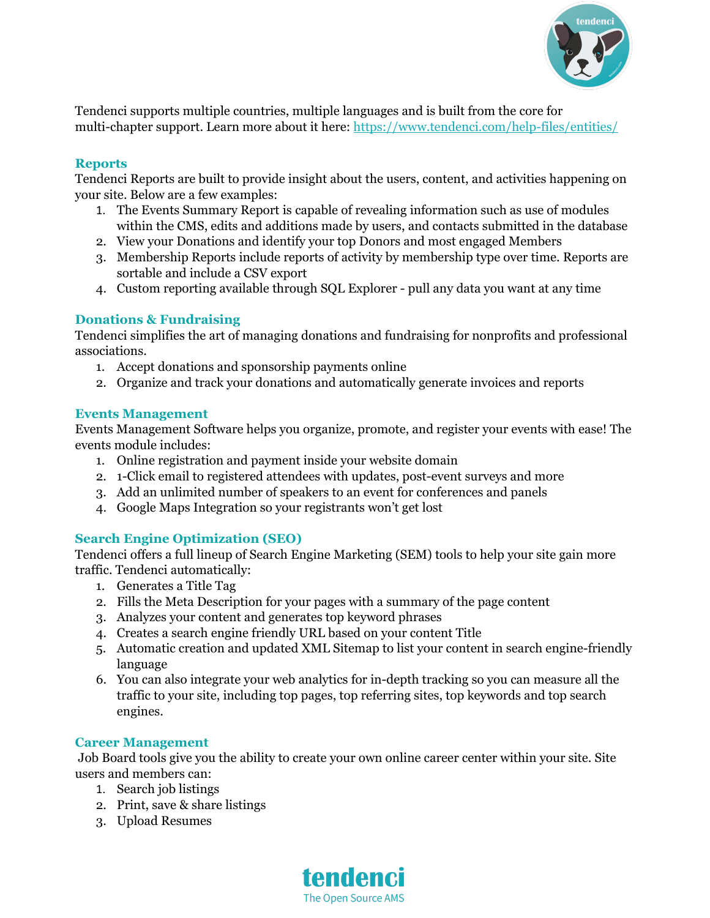

Tendenci supports multiple countries, multiple languages and is built from the core for multi-chapter support. Learn more about it here: <https://www.tendenci.com/help-files/entities/>

### **Reports**

Tendenci Reports are built to provide insight about the users, content, and activities happening on your site. Below are a few examples:

- 1. The Events Summary Report is capable of revealing information such as use of modules within the CMS, edits and additions made by users, and contacts submitted in the database
- 2. View your Donations and identify your top Donors and most engaged Members
- 3. Membership Reports include reports of activity by membership type over time. Reports are sortable and include a CSV export
- 4. Custom reporting available through SQL Explorer pull any data you want at any time

# **Donations & Fundraising**

Tendenci simplifies the art of managing donations and fundraising for nonprofits and professional associations.

- 1. Accept donations and sponsorship payments online
- 2. Organize and track your donations and automatically generate invoices and reports

### **Events Management**

Events Management Software helps you organize, promote, and register your events with ease! The events module includes:

- 1. Online registration and payment inside your website domain
- 2. 1-Click email to registered attendees with updates, post-event surveys and more
- 3. Add an unlimited number of speakers to an event for conferences and panels
- 4. Google Maps Integration so your registrants won't get lost

# **Search Engine Optimization (SEO)**

Tendenci offers a full lineup of Search Engine Marketing (SEM) tools to help your site gain more traffic. Tendenci automatically:

- 1. Generates a Title Tag
- 2. Fills the Meta Description for your pages with a summary of the page content
- 3. Analyzes your content and generates top keyword phrases
- 4. Creates a search engine friendly URL based on your content Title
- 5. Automatic creation and updated XML Sitemap to list your content in search engine-friendly language
- 6. You can also integrate your web analytics for in-depth tracking so you can measure all the traffic to your site, including top pages, top referring sites, top keywords and top search engines.

# **Career Management**

Job Board tools give you the ability to create your own online career center within your site. Site users and members can:

- 1. Search job listings
- 2. Print, save & share listings
- 3. Upload Resumes

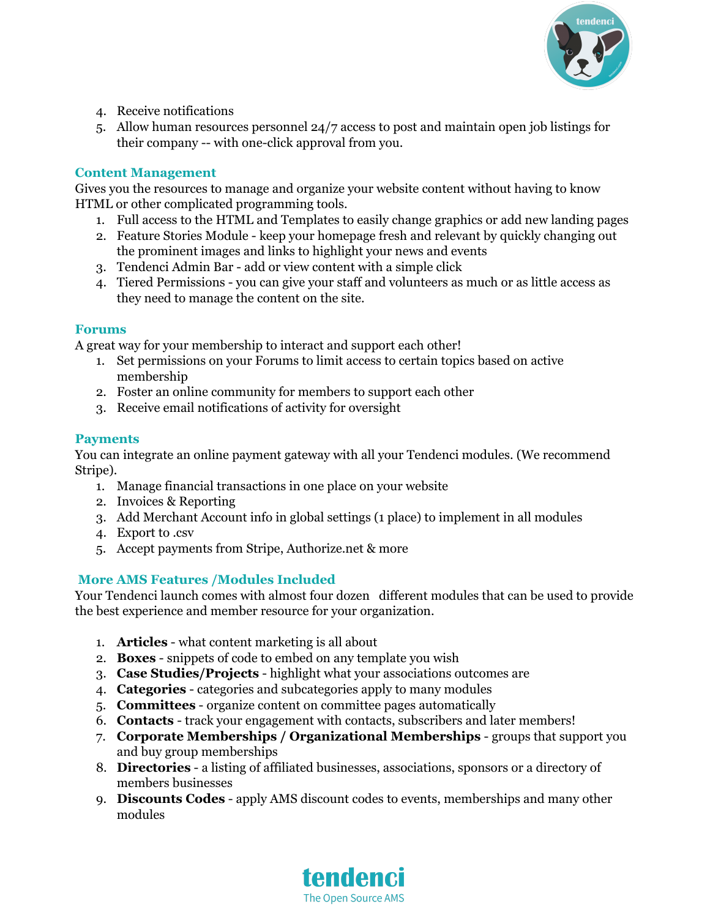

- 4. Receive notifications
- 5. Allow human resources personnel 24/7 access to post and maintain open job listings for their company -- with one-click approval from you.

# **Content Management**

Gives you the resources to manage and organize your website content without having to know HTML or other complicated programming tools.

- 1. Full access to the HTML and Templates to easily change graphics or add new landing pages
- 2. Feature Stories Module keep your homepage fresh and relevant by quickly changing out the prominent images and links to highlight your news and events
- 3. Tendenci Admin Bar add or view content with a simple click
- 4. Tiered Permissions you can give your staff and volunteers as much or as little access as they need to manage the content on the site.

#### **Forums**

A great way for your membership to interact and support each other!

- 1. Set permissions on your Forums to limit access to certain topics based on active membership
- 2. Foster an online community for members to support each other
- 3. Receive email notifications of activity for oversight

# **Payments**

You can integrate an online payment gateway with all your Tendenci modules. (We recommend Stripe).

- 1. Manage financial transactions in one place on your website
- 2. Invoices & Reporting
- 3. Add Merchant Account info in global settings (1 place) to implement in all modules
- 4. Export to .csv
- 5. Accept payments from Stripe, [Authorize.net](https://www.tendenci.com/help-files/configure-online-payments-merchant-provider-tendenci/) & more

# **More AMS Features /Modules Included**

Your Tendenci launch comes with almost four dozen different modules that can be used to provide the best experience and member resource for your organization.

- 1. **Articles** what content marketing is all about
- 2. **Boxes** snippets of code to embed on any template you wish
- 3. **Case Studies/Projects** highlight what your associations outcomes are
- 4. **Categories** categories and subcategories apply to many modules
- 5. **Committees** organize content on committee pages automatically
- 6. **Contacts** track your engagement with contacts, subscribers and later members!
- 7. **Corporate Memberships / Organizational Memberships** groups that support you and buy group memberships
- 8. **Directories** a listing of affiliated businesses, associations, sponsors or a directory of members businesses
- 9. **Discounts Codes** apply AMS discount codes to events, memberships and many other modules